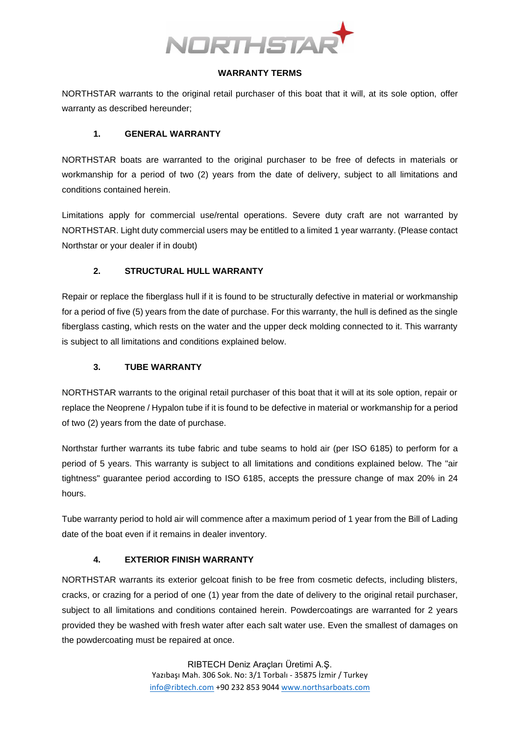

### **WARRANTY TERMS**

NORTHSTAR warrants to the original retail purchaser of this boat that it will, at its sole option, offer warranty as described hereunder;

### **1. GENERAL WARRANTY**

NORTHSTAR boats are warranted to the original purchaser to be free of defects in materials or workmanship for a period of two (2) years from the date of delivery, subject to all limitations and conditions contained herein.

Limitations apply for commercial use/rental operations. Severe duty craft are not warranted by NORTHSTAR. Light duty commercial users may be entitled to a limited 1 year warranty. (Please contact Northstar or your dealer if in doubt)

## **2. STRUCTURAL HULL WARRANTY**

Repair or replace the fiberglass hull if it is found to be structurally defective in material or workmanship for a period of five (5) years from the date of purchase. For this warranty, the hull is defined as the single fiberglass casting, which rests on the water and the upper deck molding connected to it. This warranty is subject to all limitations and conditions explained below.

# **3. TUBE WARRANTY**

NORTHSTAR warrants to the original retail purchaser of this boat that it will at its sole option, repair or replace the Neoprene / Hypalon tube if it is found to be defective in material or workmanship for a period of two (2) years from the date of purchase.

Northstar further warrants its tube fabric and tube seams to hold air (per ISO 6185) to perform for a period of 5 years. This warranty is subject to all limitations and conditions explained below. The "air tightness" guarantee period according to ISO 6185, accepts the pressure change of max 20% in 24 hours.

Tube warranty period to hold air will commence after a maximum period of 1 year from the Bill of Lading date of the boat even if it remains in dealer inventory.

## **4. EXTERIOR FINISH WARRANTY**

NORTHSTAR warrants its exterior gelcoat finish to be free from cosmetic defects, including blisters, cracks, or crazing for a period of one (1) year from the date of delivery to the original retail purchaser, subject to all limitations and conditions contained herein. Powdercoatings are warranted for 2 years provided they be washed with fresh water after each salt water use. Even the smallest of damages on the powdercoating must be repaired at once.

> RIBTECH Deniz Araçları Üretimi A.Ş. Yazıbaşı Mah. 306 Sok. No: 3/1 Torbalı - 35875 İzmir / Turkey [info@ribtech.com](mailto:info@ribtech.com) +90 232 853 9044 [www.northsarboats.com](http://www.northsarboats.com/)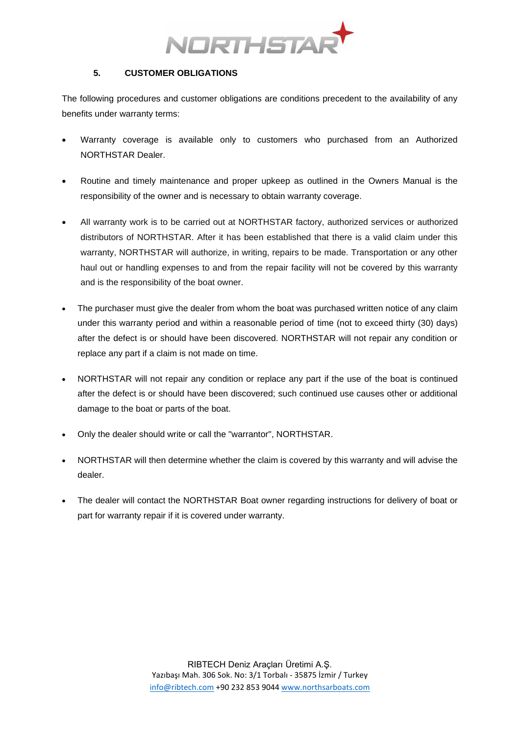

### **5. CUSTOMER OBLIGATIONS**

The following procedures and customer obligations are conditions precedent to the availability of any benefits under warranty terms:

- Warranty coverage is available only to customers who purchased from an Authorized NORTHSTAR Dealer.
- Routine and timely maintenance and proper upkeep as outlined in the Owners Manual is the responsibility of the owner and is necessary to obtain warranty coverage.
- All warranty work is to be carried out at NORTHSTAR factory, authorized services or authorized distributors of NORTHSTAR. After it has been established that there is a valid claim under this warranty, NORTHSTAR will authorize, in writing, repairs to be made. Transportation or any other haul out or handling expenses to and from the repair facility will not be covered by this warranty and is the responsibility of the boat owner.
- The purchaser must give the dealer from whom the boat was purchased written notice of any claim under this warranty period and within a reasonable period of time (not to exceed thirty (30) days) after the defect is or should have been discovered. NORTHSTAR will not repair any condition or replace any part if a claim is not made on time.
- NORTHSTAR will not repair any condition or replace any part if the use of the boat is continued after the defect is or should have been discovered; such continued use causes other or additional damage to the boat or parts of the boat.
- Only the dealer should write or call the "warrantor", NORTHSTAR.
- NORTHSTAR will then determine whether the claim is covered by this warranty and will advise the dealer.
- The dealer will contact the NORTHSTAR Boat owner regarding instructions for delivery of boat or part for warranty repair if it is covered under warranty.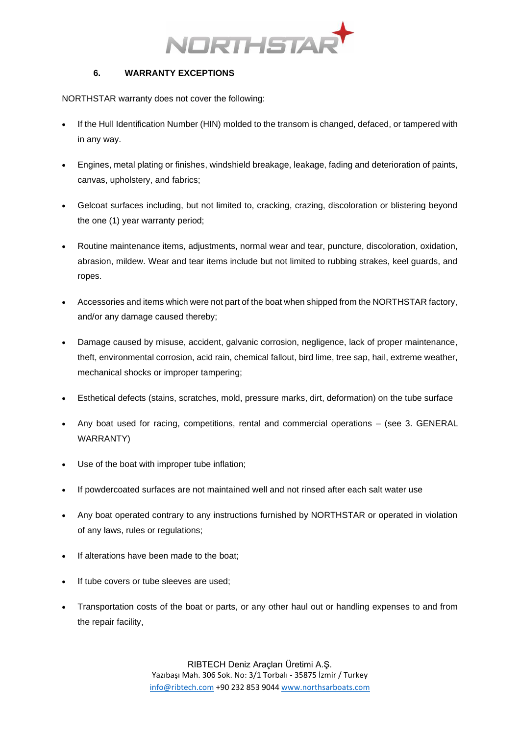

### **6. WARRANTY EXCEPTIONS**

NORTHSTAR warranty does not cover the following:

- If the Hull Identification Number (HIN) molded to the transom is changed, defaced, or tampered with in any way.
- Engines, metal plating or finishes, windshield breakage, leakage, fading and deterioration of paints, canvas, upholstery, and fabrics;
- Gelcoat surfaces including, but not limited to, cracking, crazing, discoloration or blistering beyond the one (1) year warranty period;
- Routine maintenance items, adjustments, normal wear and tear, puncture, discoloration, oxidation, abrasion, mildew. Wear and tear items include but not limited to rubbing strakes, keel guards, and ropes.
- Accessories and items which were not part of the boat when shipped from the NORTHSTAR factory, and/or any damage caused thereby;
- Damage caused by misuse, accident, galvanic corrosion, negligence, lack of proper maintenance, theft, environmental corrosion, acid rain, chemical fallout, bird lime, tree sap, hail, extreme weather, mechanical shocks or improper tampering;
- Esthetical defects (stains, scratches, mold, pressure marks, dirt, deformation) on the tube surface
- Any boat used for racing, competitions, rental and commercial operations (see 3. GENERAL WARRANTY)
- Use of the boat with improper tube inflation;
- If powdercoated surfaces are not maintained well and not rinsed after each salt water use
- Any boat operated contrary to any instructions furnished by NORTHSTAR or operated in violation of any laws, rules or regulations;
- If alterations have been made to the boat;
- If tube covers or tube sleeves are used:
- Transportation costs of the boat or parts, or any other haul out or handling expenses to and from the repair facility,

RIBTECH Deniz Araçları Üretimi A.Ş. Yazıbaşı Mah. 306 Sok. No: 3/1 Torbalı - 35875 İzmir / Turkey [info@ribtech.com](mailto:info@ribtech.com) +90 232 853 9044 [www.northsarboats.com](http://www.northsarboats.com/)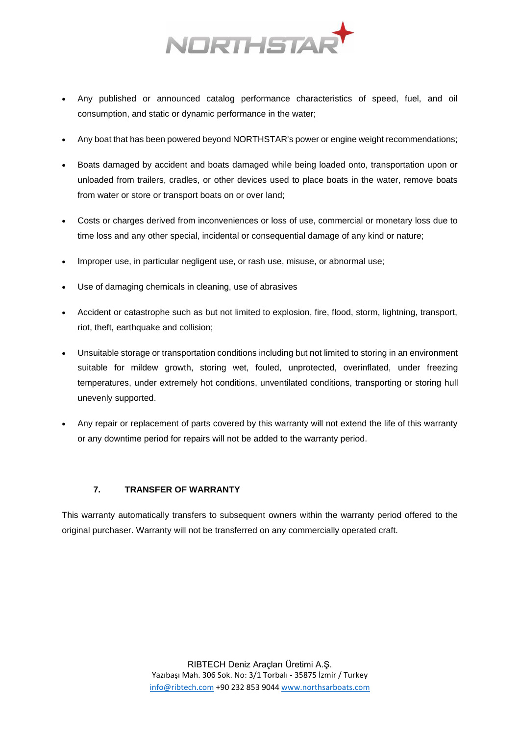

- Any published or announced catalog performance characteristics of speed, fuel, and oil consumption, and static or dynamic performance in the water;
- Any boat that has been powered beyond NORTHSTAR's power or engine weight recommendations;
- Boats damaged by accident and boats damaged while being loaded onto, transportation upon or unloaded from trailers, cradles, or other devices used to place boats in the water, remove boats from water or store or transport boats on or over land;
- Costs or charges derived from inconveniences or loss of use, commercial or monetary loss due to time loss and any other special, incidental or consequential damage of any kind or nature;
- Improper use, in particular negligent use, or rash use, misuse, or abnormal use;
- Use of damaging chemicals in cleaning, use of abrasives
- Accident or catastrophe such as but not limited to explosion, fire, flood, storm, lightning, transport, riot, theft, earthquake and collision;
- Unsuitable storage or transportation conditions including but not limited to storing in an environment suitable for mildew growth, storing wet, fouled, unprotected, overinflated, under freezing temperatures, under extremely hot conditions, unventilated conditions, transporting or storing hull unevenly supported.
- Any repair or replacement of parts covered by this warranty will not extend the life of this warranty or any downtime period for repairs will not be added to the warranty period.

## **7. TRANSFER OF WARRANTY**

This warranty automatically transfers to subsequent owners within the warranty period offered to the original purchaser. Warranty will not be transferred on any commercially operated craft.